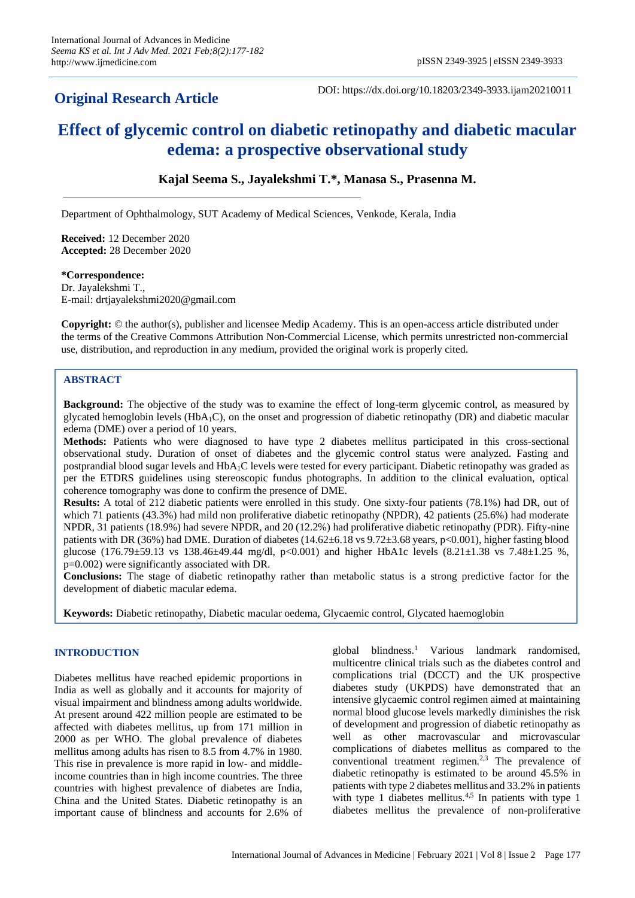## **Original Research Article**

DOI: https://dx.doi.org/10.18203/2349-3933.ijam20210011

# **Effect of glycemic control on diabetic retinopathy and diabetic macular edema: a prospective observational study**

**Kajal Seema S., Jayalekshmi T.\*, Manasa S., Prasenna M.**

Department of Ophthalmology, SUT Academy of Medical Sciences, Venkode, Kerala, India

**Received:** 12 December 2020 **Accepted:** 28 December 2020

#### **\*Correspondence:**

Dr. Jayalekshmi T., E-mail: drtjayalekshmi2020@gmail.com

**Copyright:** © the author(s), publisher and licensee Medip Academy. This is an open-access article distributed under the terms of the Creative Commons Attribution Non-Commercial License, which permits unrestricted non-commercial use, distribution, and reproduction in any medium, provided the original work is properly cited.

## **ABSTRACT**

**Background:** The objective of the study was to examine the effect of long-term glycemic control, as measured by glycated hemoglobin levels ( $HbA_1C$ ), on the onset and progression of diabetic retinopathy (DR) and diabetic macular edema (DME) over a period of 10 years.

**Methods:** Patients who were diagnosed to have type 2 diabetes mellitus participated in this cross-sectional observational study. Duration of onset of diabetes and the glycemic control status were analyzed. Fasting and postprandial blood sugar levels and HbA1C levels were tested for every participant. Diabetic retinopathy was graded as per the ETDRS guidelines using stereoscopic fundus photographs. In addition to the clinical evaluation, optical coherence tomography was done to confirm the presence of DME.

**Results:** A total of 212 diabetic patients were enrolled in this study. One sixty-four patients (78.1%) had DR, out of which 71 patients (43.3%) had mild non proliferative diabetic retinopathy (NPDR), 42 patients (25.6%) had moderate NPDR, 31 patients (18.9%) had severe NPDR, and 20 (12.2%) had proliferative diabetic retinopathy (PDR). Fifty-nine patients with DR (36%) had DME. Duration of diabetes (14.62±6.18 vs 9.72±3.68 years, p<0.001), higher fasting blood glucose (176.79±59.13 vs 138.46±49.44 mg/dl, p<0.001) and higher HbA1c levels (8.21±1.38 vs 7.48±1.25 %, p=0.002) were significantly associated with DR.

**Conclusions:** The stage of diabetic retinopathy rather than metabolic status is a strong predictive factor for the development of diabetic macular edema.

**Keywords:** Diabetic retinopathy, Diabetic macular oedema, Glycaemic control, Glycated haemoglobin

### **INTRODUCTION**

Diabetes mellitus have reached epidemic proportions in India as well as globally and it accounts for majority of visual impairment and blindness among adults worldwide. At present around 422 million people are estimated to be affected with diabetes mellitus, up from 171 million in 2000 as per WHO. The global prevalence of diabetes mellitus among adults has risen to 8.5 from 4.7% in 1980. This rise in prevalence is more rapid in low- and middleincome countries than in high income countries. The three countries with highest prevalence of diabetes are India, China and the United States. Diabetic retinopathy is an important cause of blindness and accounts for 2.6% of global blindness.<sup>1</sup> Various landmark randomised, multicentre clinical trials such as the diabetes control and complications trial (DCCT) and the UK prospective diabetes study (UKPDS) have demonstrated that an intensive glycaemic control regimen aimed at maintaining normal blood glucose levels markedly diminishes the risk of development and progression of diabetic retinopathy as well as other macrovascular and microvascular complications of diabetes mellitus as compared to the conventional treatment regimen.<sup>2,3</sup> The prevalence of diabetic retinopathy is estimated to be around 45.5% in patients with type 2 diabetes mellitus and 33.2% in patients with type 1 diabetes mellitus.<sup>4,5</sup> In patients with type 1 diabetes mellitus the prevalence of non-proliferative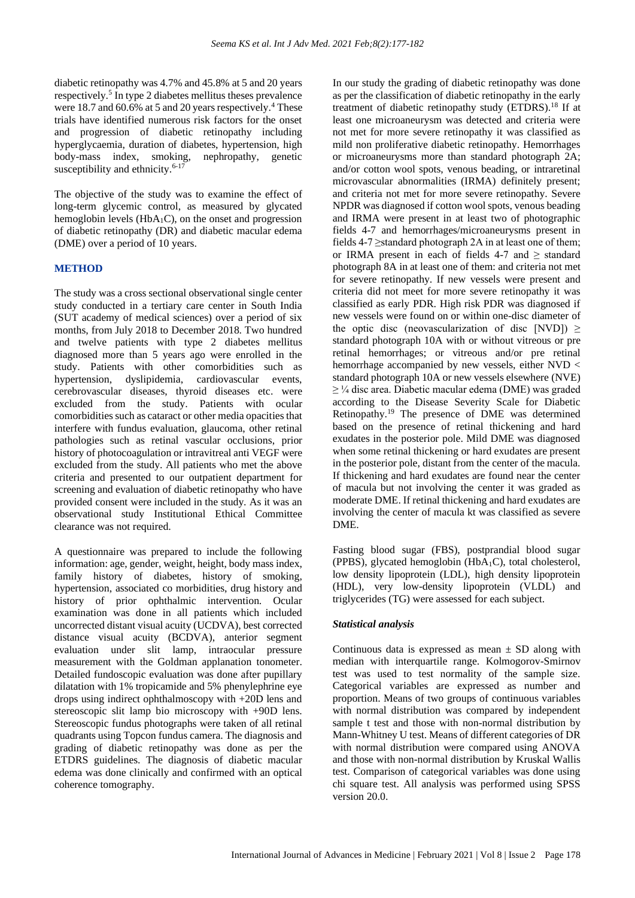diabetic retinopathy was 4.7% and 45.8% at 5 and 20 years respectively.<sup>5</sup> In type 2 diabetes mellitus theses prevalence were 18.7 and 60.6% at 5 and 20 years respectively.<sup>4</sup> These trials have identified numerous risk factors for the onset and progression of diabetic retinopathy including hyperglycaemia, duration of diabetes, hypertension, high body-mass index, smoking, nephropathy, genetic susceptibility and ethnicity. $6-17$ 

The objective of the study was to examine the effect of long-term glycemic control, as measured by glycated hemoglobin levels ( $HbA_1C$ ), on the onset and progression of diabetic retinopathy (DR) and diabetic macular edema (DME) over a period of 10 years.

## **METHOD**

The study was a cross sectional observational single center study conducted in a tertiary care center in South India (SUT academy of medical sciences) over a period of six months, from July 2018 to December 2018. Two hundred and twelve patients with type 2 diabetes mellitus diagnosed more than 5 years ago were enrolled in the study. Patients with other comorbidities such as hypertension, dyslipidemia, cardiovascular events, cerebrovascular diseases, thyroid diseases etc. were excluded from the study. Patients with ocular comorbidities such as cataract or other media opacities that interfere with fundus evaluation, glaucoma, other retinal pathologies such as retinal vascular occlusions, prior history of photocoagulation or intravitreal anti VEGF were excluded from the study. All patients who met the above criteria and presented to our outpatient department for screening and evaluation of diabetic retinopathy who have provided consent were included in the study. As it was an observational study Institutional Ethical Committee clearance was not required.

A questionnaire was prepared to include the following information: age, gender, weight, height, body mass index, family history of diabetes, history of smoking, hypertension, associated co morbidities, drug history and history of prior ophthalmic intervention. Ocular examination was done in all patients which included uncorrected distant visual acuity (UCDVA), best corrected distance visual acuity (BCDVA), anterior segment evaluation under slit lamp, intraocular pressure measurement with the Goldman applanation tonometer. Detailed fundoscopic evaluation was done after pupillary dilatation with 1% tropicamide and 5% phenylephrine eye drops using indirect ophthalmoscopy with +20D lens and stereoscopic slit lamp bio microscopy with +90D lens. Stereoscopic fundus photographs were taken of all retinal quadrants using Topcon fundus camera. The diagnosis and grading of diabetic retinopathy was done as per the ETDRS guidelines. The diagnosis of diabetic macular edema was done clinically and confirmed with an optical coherence tomography.

In our study the grading of diabetic retinopathy was done as per the classification of diabetic retinopathy in the early treatment of diabetic retinopathy study (ETDRS).<sup>18</sup> If at least one microaneurysm was detected and criteria were not met for more severe retinopathy it was classified as mild non proliferative diabetic retinopathy. Hemorrhages or microaneurysms more than standard photograph 2A; and/or cotton wool spots, venous beading, or intraretinal microvascular abnormalities (IRMA) definitely present; and criteria not met for more severe retinopathy. Severe NPDR was diagnosed if cotton wool spots, venous beading and IRMA were present in at least two of photographic fields 4-7 and hemorrhages/microaneurysms present in fields 4-7 ≥standard photograph 2A in at least one of them; or IRMA present in each of fields 4-7 and  $\ge$  standard photograph 8A in at least one of them: and criteria not met for severe retinopathy. If new vessels were present and criteria did not meet for more severe retinopathy it was classified as early PDR. High risk PDR was diagnosed if new vessels were found on or within one-disc diameter of the optic disc (neovascularization of disc [NVD])  $\ge$ standard photograph 10A with or without vitreous or pre retinal hemorrhages; or vitreous and/or pre retinal hemorrhage accompanied by new vessels, either NVD < standard photograph 10A or new vessels elsewhere (NVE)  $\geq$  ¼ disc area. Diabetic macular edema (DME) was graded according to the Disease Severity Scale for Diabetic Retinopathy.<sup>19</sup> The presence of DME was determined based on the presence of retinal thickening and hard exudates in the posterior pole. Mild DME was diagnosed when some retinal thickening or hard exudates are present in the posterior pole, distant from the center of the macula. If thickening and hard exudates are found near the center of macula but not involving the center it was graded as moderate DME. If retinal thickening and hard exudates are involving the center of macula kt was classified as severe DME.

Fasting blood sugar (FBS), postprandial blood sugar (PPBS), glycated hemoglobin  $(HbA_1C)$ , total cholesterol, low density lipoprotein (LDL), high density lipoprotein (HDL), very low-density lipoprotein (VLDL) and triglycerides (TG) were assessed for each subject.

## *Statistical analysis*

Continuous data is expressed as mean  $\pm$  SD along with median with interquartile range. Kolmogorov-Smirnov test was used to test normality of the sample size. Categorical variables are expressed as number and proportion. Means of two groups of continuous variables with normal distribution was compared by independent sample t test and those with non-normal distribution by Mann-Whitney U test. Means of different categories of DR with normal distribution were compared using ANOVA and those with non-normal distribution by Kruskal Wallis test. Comparison of categorical variables was done using chi square test. All analysis was performed using SPSS version 20.0.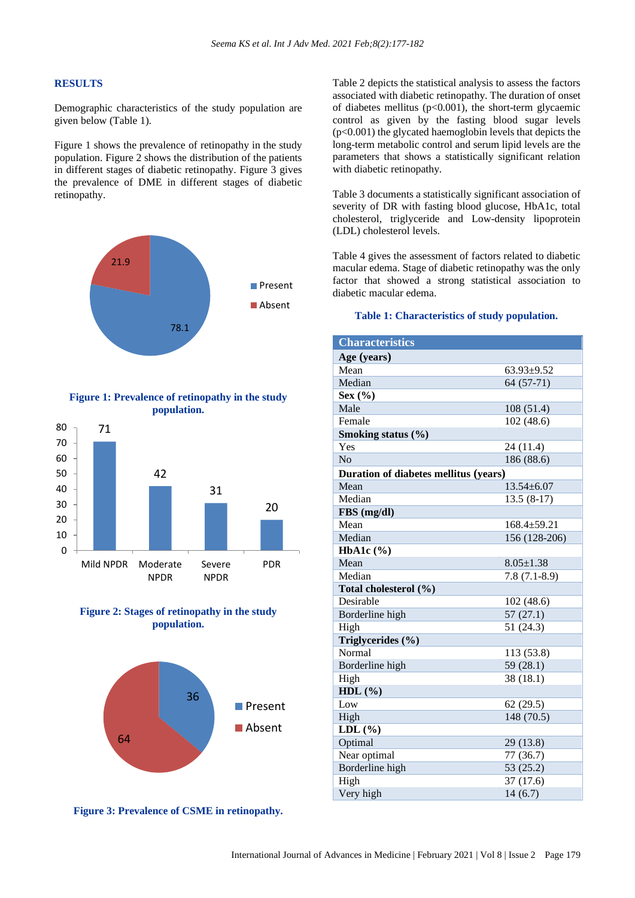#### **RESULTS**

Demographic characteristics of the study population are given below (Table 1).

Figure 1 shows the prevalence of retinopathy in the study population. Figure 2 shows the distribution of the patients in different stages of diabetic retinopathy. Figure 3 gives the prevalence of DME in different stages of diabetic retinopathy.



#### **Figure 1: Prevalence of retinopathy in the study population.**







**Figure 3: Prevalence of CSME in retinopathy.**

Table 2 depicts the statistical analysis to assess the factors associated with diabetic retinopathy. The duration of onset of diabetes mellitus  $(p<0.001)$ , the short-term glycaemic control as given by the fasting blood sugar levels (p<0.001) the glycated haemoglobin levels that depicts the long-term metabolic control and serum lipid levels are the parameters that shows a statistically significant relation with diabetic retinopathy.

Table 3 documents a statistically significant association of severity of DR with fasting blood glucose, HbA1c, total cholesterol, triglyceride and Low-density lipoprotein (LDL) cholesterol levels.

Table 4 gives the assessment of factors related to diabetic macular edema. Stage of diabetic retinopathy was the only factor that showed a strong statistical association to diabetic macular edema.

#### **Table 1: Characteristics of study population.**

| <b>Characteristics</b>                |                   |
|---------------------------------------|-------------------|
| Age (years)                           |                   |
| Mean                                  | $63.93 + 9.52$    |
| Median                                | $64(57-71)$       |
| Sex $(\% )$                           |                   |
| Male                                  | 108(51.4)         |
| Female                                | 102(48.6)         |
| Smoking status (%)                    |                   |
| Yes                                   | 24 (11.4)         |
| N <sub>o</sub>                        | 186 (88.6)        |
| Duration of diabetes mellitus (years) |                   |
| Mean                                  | $13.54 \pm 6.07$  |
| Median                                | $13.5(8-17)$      |
| FBS (mg/dl)                           |                   |
| Mean                                  | $168.4 \pm 59.21$ |
| Median                                | 156 (128-206)     |
| HbA1c $(\%)$                          |                   |
| Mean                                  | $8.05 \pm 1.38$   |
| Median                                | $7.8(7.1-8.9)$    |
| Total cholesterol (%)                 |                   |
| Desirable                             | 102(48.6)         |
| Borderline high                       | 57(27.1)          |
| High                                  | 51 (24.3)         |
| Triglycerides (%)                     |                   |
| Normal                                | 113 (53.8)        |
| Borderline high                       | 59 (28.1)         |
| High                                  | 38 (18.1)         |
| HDL $(\% )$                           |                   |
| Low                                   | 62(29.5)          |
| High                                  | 148 (70.5)        |
| $LDL(\%)$                             |                   |
| Optimal                               | 29 (13.8)         |
| Near optimal                          | 77 (36.7)         |
| Borderline high                       | 53 (25.2)         |
| High                                  | 37(17.6)          |
| Very high                             | 14(6.7)           |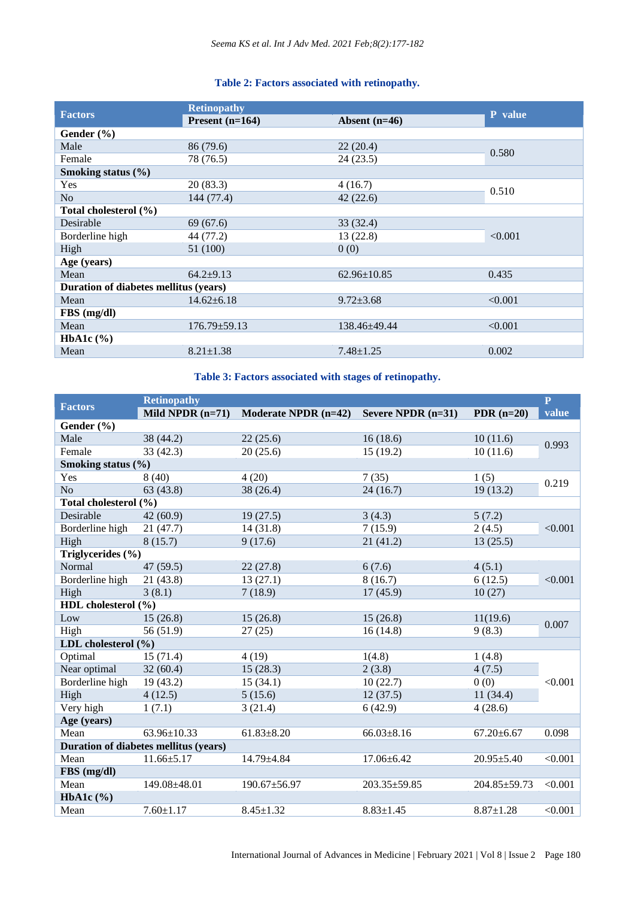## **Table 2: Factors associated with retinopathy.**

| <b>Factors</b>                        | <b>Retinopathy</b> |                   |         |  |  |
|---------------------------------------|--------------------|-------------------|---------|--|--|
|                                       | Present $(n=164)$  | Absent $(n=46)$   | P value |  |  |
| Gender $(\% )$                        |                    |                   |         |  |  |
| Male                                  | 86 (79.6)          | 22(20.4)          | 0.580   |  |  |
| Female                                | 78 (76.5)          | 24(23.5)          |         |  |  |
| Smoking status (%)                    |                    |                   |         |  |  |
| Yes                                   | 20(83.3)           | 4(16.7)           | 0.510   |  |  |
| N <sub>o</sub>                        | 144 (77.4)         | 42(22.6)          |         |  |  |
| Total cholesterol (%)                 |                    |                   |         |  |  |
| Desirable                             | 69(67.6)           | 33 (32.4)         |         |  |  |
| Borderline high                       | 44 (77.2)          | 13 (22.8)         | < 0.001 |  |  |
| High                                  | 51 (100)           | 0(0)              |         |  |  |
| Age (years)                           |                    |                   |         |  |  |
| Mean                                  | $64.2+9.13$        | $62.96 \pm 10.85$ | 0.435   |  |  |
| Duration of diabetes mellitus (years) |                    |                   |         |  |  |
| Mean                                  | $14.62 \pm 6.18$   | $9.72 \pm 3.68$   | < 0.001 |  |  |
| FBS (mg/dl)                           |                    |                   |         |  |  |
| Mean                                  | $176.79 \pm 59.13$ | 138.46+49.44      | < 0.001 |  |  |
| HbA1c $(\% )$                         |                    |                   |         |  |  |
| Mean                                  | $8.21 \pm 1.38$    | $7.48 \pm 1.25$   | 0.002   |  |  |

## **Table 3: Factors associated with stages of retinopathy.**

|                         | <b>Retinopathy</b>                    |                        |                    |                  | $\mathbf{P}$ |
|-------------------------|---------------------------------------|------------------------|--------------------|------------------|--------------|
| <b>Factors</b>          | Mild NPDR $(n=71)$                    | Moderate NPDR $(n=42)$ | Severe NPDR (n=31) | PDR $(n=20)$     | value        |
| Gender (%)              |                                       |                        |                    |                  |              |
| Male                    | 38 (44.2)                             | 22(25.6)               | 16(18.6)           | 10(11.6)         | 0.993        |
| Female                  | 33(42.3)                              | 20(25.6)               | 15(19.2)           | 10(11.6)         |              |
| Smoking status $(\% )$  |                                       |                        |                    |                  |              |
| Yes                     | 8(40)                                 | 4(20)                  | 7(35)              | 1(5)             | 0.219        |
| N <sub>o</sub>          | 63(43.8)                              | 38 (26.4)              | 24(16.7)           | 19(13.2)         |              |
| Total cholesterol (%)   |                                       |                        |                    |                  |              |
| Desirable               | 42(60.9)                              | 19(27.5)               | 3(4.3)             | 5(7.2)           |              |
| Borderline high         | 21(47.7)                              | 14(31.8)               | 7(15.9)            | 2(4.5)           | < 0.001      |
| High                    | 8(15.7)                               | 9(17.6)                | 21(41.2)           | 13(25.5)         |              |
| Triglycerides (%)       |                                       |                        |                    |                  |              |
| Normal                  | 47 (59.5)                             | 22(27.8)               | 6(7.6)             | 4(5.1)           |              |
| Borderline high         | 21(43.8)                              | 13(27.1)               | 8(16.7)            | 6(12.5)          | < 0.001      |
| High                    | 3(8.1)                                | 7(18.9)                | 17(45.9)           | 10(27)           |              |
| HDL cholesterol (%)     |                                       |                        |                    |                  |              |
| Low                     | 15(26.8)                              | 15(26.8)               | 15(26.8)           | 11(19.6)         | 0.007        |
| High                    | 56 (51.9)                             | 27(25)                 | 16(14.8)           | 9(8.3)           |              |
| LDL cholesterol $(\% )$ |                                       |                        |                    |                  |              |
| Optimal                 | 15(71.4)                              | 4(19)                  | 1(4.8)             | 1(4.8)           |              |
| Near optimal            | 32(60.4)                              | 15(28.3)               | 2(3.8)             | 4(7.5)           |              |
| Borderline high         | 19(43.2)                              | 15(34.1)               | 10(22.7)           | 0(0)             | < 0.001      |
| High                    | 4(12.5)                               | 5(15.6)                | 12(37.5)           | 11(34.4)         |              |
| Very high               | 1(7.1)                                | 3(21.4)                | 6(42.9)            | 4(28.6)          |              |
| Age (years)             |                                       |                        |                    |                  |              |
| Mean                    | 63.96±10.33                           | $61.83 \pm 8.20$       | $66.03 \pm 8.16$   | $67.20 \pm 6.67$ | 0.098        |
|                         | Duration of diabetes mellitus (years) |                        |                    |                  |              |
| Mean                    | $11.66 \pm 5.17$                      | $14.79 \pm 4.84$       | $17.06 \pm 6.42$   | $20.95 \pm 5.40$ | < 0.001      |
| FBS (mg/dl)             |                                       |                        |                    |                  |              |
| Mean                    | 149.08±48.01                          | 190.67±56.97           | 203.35±59.85       | 204.85±59.73     | < 0.001      |
| HbA1c $(\%)$            |                                       |                        |                    |                  |              |
| Mean                    | $7.60 \pm 1.17$                       | $8.45 \pm 1.32$        | $8.83 \pm 1.45$    | $8.87 \pm 1.28$  | < 0.001      |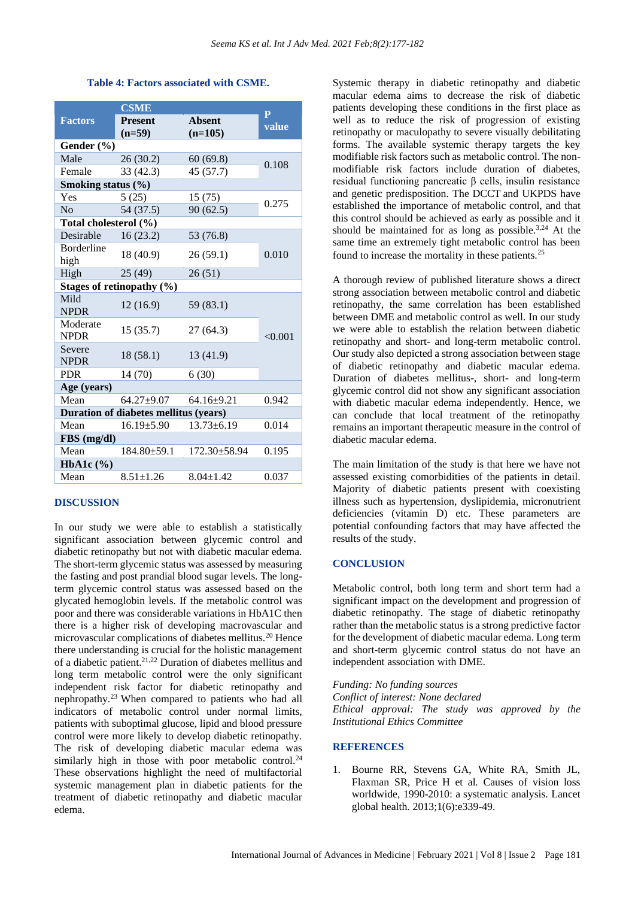#### **Table 4: Factors associated with CSME.**

|                                       | <b>CSME</b>                   | P                  |         |  |  |
|---------------------------------------|-------------------------------|--------------------|---------|--|--|
| <b>Factors</b>                        | <b>Present</b>                | <b>Absent</b>      | value   |  |  |
|                                       | $(n=59)$                      | $(n=105)$          |         |  |  |
| Gender (%)                            |                               |                    |         |  |  |
| Male                                  | 26(30.2)                      | 60(69.8)           | 0.108   |  |  |
| Female                                | 33 (42.3)                     | 45 (57.7)          |         |  |  |
| Smoking status $(\% )$                |                               |                    |         |  |  |
| Yes                                   | 5(25)                         | 15(75)             | 0.275   |  |  |
| No                                    | 54 (37.5)                     | 90(62.5)           |         |  |  |
| Total cholesterol (%)                 |                               |                    |         |  |  |
| Desirable                             | 16(23.2)                      | 53 (76.8)          |         |  |  |
| <b>Borderline</b>                     | 18 (40.9)                     | 26(59.1)           | 0.010   |  |  |
| high                                  |                               |                    |         |  |  |
| High                                  | 25(49)                        | 26(51)             |         |  |  |
|                                       | Stages of retinopathy $(\% )$ |                    |         |  |  |
| Mild<br><b>NPDR</b>                   | 12(16.9)                      | 59 (83.1)          | < 0.001 |  |  |
| Moderate<br><b>NPDR</b>               | 15(35.7)                      | 27(64.3)           |         |  |  |
| Severe<br><b>NPDR</b>                 | 18(58.1)                      | 13 (41.9)          |         |  |  |
| <b>PDR</b>                            | 14 (70)                       | 6(30)              |         |  |  |
| Age (years)                           |                               |                    |         |  |  |
| Mean                                  | $64.27 \pm 9.07$              | $64.16+9.21$       | 0.942   |  |  |
| Duration of diabetes mellitus (years) |                               |                    |         |  |  |
| Mean                                  | $16.19{\pm}5.90$              | $13.73 \pm 6.19$   | 0.014   |  |  |
| $FBS$ (mg/dl)                         |                               |                    |         |  |  |
| Mean                                  | $184.80 \pm 59.1$             | $172.30 \pm 58.94$ | 0.195   |  |  |
| HbA1c $(\%)$                          |                               |                    |         |  |  |
| Mean                                  | $8.51 \pm 1.26$               | $8.04 \pm 1.42$    | 0.037   |  |  |

#### **DISCUSSION**

In our study we were able to establish a statistically significant association between glycemic control and diabetic retinopathy but not with diabetic macular edema. The short-term glycemic status was assessed by measuring the fasting and post prandial blood sugar levels. The longterm glycemic control status was assessed based on the glycated hemoglobin levels. If the metabolic control was poor and there was considerable variations in HbA1C then there is a higher risk of developing macrovascular and microvascular complications of diabetes mellitus.<sup>20</sup> Hence there understanding is crucial for the holistic management of a diabetic patient.21,22 Duration of diabetes mellitus and long term metabolic control were the only significant independent risk factor for diabetic retinopathy and nephropathy.<sup>23</sup>When compared to patients who had all indicators of metabolic control under normal limits, patients with suboptimal glucose, lipid and blood pressure control were more likely to develop diabetic retinopathy. The risk of developing diabetic macular edema was similarly high in those with poor metabolic control.<sup>24</sup> These observations highlight the need of multifactorial systemic management plan in diabetic patients for the treatment of diabetic retinopathy and diabetic macular edema.

Systemic therapy in diabetic retinopathy and diabetic macular edema aims to decrease the risk of diabetic patients developing these conditions in the first place as well as to reduce the risk of progression of existing retinopathy or maculopathy to severe visually debilitating forms. The available systemic therapy targets the key modifiable risk factors such as metabolic control. The nonmodifiable risk factors include duration of diabetes, residual functioning pancreatic β cells, insulin resistance and genetic predisposition. The DCCT and UKPDS have established the importance of metabolic control, and that this control should be achieved as early as possible and it should be maintained for as long as possible.<sup>3,24</sup> At the same time an extremely tight metabolic control has been found to increase the mortality in these patients.<sup>25</sup>

A thorough review of published literature shows a direct strong association between metabolic control and diabetic retinopathy, the same correlation has been established between DME and metabolic control as well. In our study we were able to establish the relation between diabetic retinopathy and short- and long-term metabolic control. Our study also depicted a strong association between stage of diabetic retinopathy and diabetic macular edema. Duration of diabetes mellitus-, short- and long-term glycemic control did not show any significant association with diabetic macular edema independently. Hence, we can conclude that local treatment of the retinopathy remains an important therapeutic measure in the control of diabetic macular edema.

The main limitation of the study is that here we have not assessed existing comorbidities of the patients in detail. Majority of diabetic patients present with coexisting illness such as hypertension, dyslipidemia, micronutrient deficiencies (vitamin D) etc. These parameters are potential confounding factors that may have affected the results of the study.

#### **CONCLUSION**

Metabolic control, both long term and short term had a significant impact on the development and progression of diabetic retinopathy. The stage of diabetic retinopathy rather than the metabolic status is a strong predictive factor for the development of diabetic macular edema. Long term and short-term glycemic control status do not have an independent association with DME.

*Funding: No funding sources Conflict of interest: None declared Ethical approval: The study was approved by the Institutional Ethics Committee*

#### **REFERENCES**

1. Bourne RR, Stevens GA, White RA, Smith JL, Flaxman SR, Price H et al. Causes of vision loss worldwide, 1990-2010: a systematic analysis. Lancet global health. 2013;1(6):e339-49.